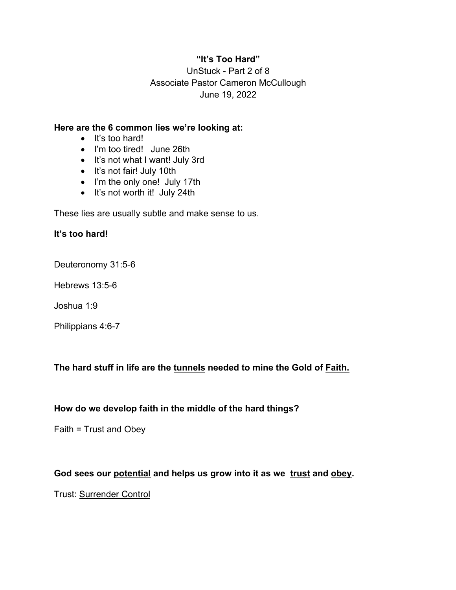## **"It's Too Hard"**

UnStuck - Part 2 of 8 Associate Pastor Cameron McCullough June 19, 2022

#### **Here are the 6 common lies we're looking at:**

- It's too hard!
- I'm too tired! June 26th
- It's not what I want! July 3rd
- It's not fair! July 10th
- I'm the only one! July 17th
- It's not worth it! July 24th

These lies are usually subtle and make sense to us.

#### **It's too hard!**

Deuteronomy 31:5-6

Hebrews 13:5-6

Joshua 1:9

Philippians 4:6-7

# **The hard stuff in life are the tunnels needed to mine the Gold of Faith.**

#### **How do we develop faith in the middle of the hard things?**

Faith = Trust and Obey

### **God sees our potential and helps us grow into it as we trust and obey.**

Trust: Surrender Control